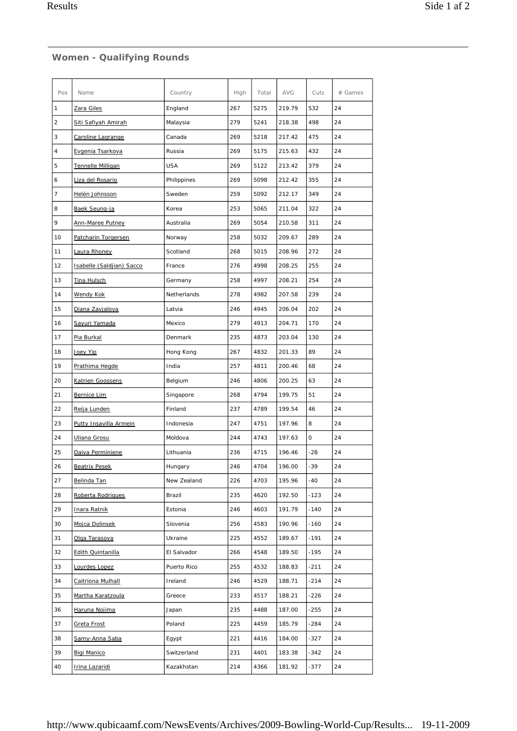| Pos            | Name                      | Country     | High | Total | <b>AVG</b> | Cuts   | # Games |
|----------------|---------------------------|-------------|------|-------|------------|--------|---------|
| 1              | Zara Giles                | England     | 267  | 5275  | 219.79     | 532    | 24      |
| $\overline{c}$ | Siti Safiyah Amirah       | Malaysia    | 279  | 5241  | 218.38     | 498    | 24      |
| 3              | Caroline Lagrange         | Canada      | 269  | 5218  | 217.42     | 475    | 24      |
| 4              | Evgenia Tsarkova          | Russia      | 269  | 5175  | 215.63     | 432    | 24      |
| 5              | Tennelle Milligan         | <b>USA</b>  | 269  | 5122  | 213.42     | 379    | 24      |
| 6              | Liza del Rosario          | Philippines | 269  | 5098  | 212.42     | 355    | 24      |
| 7              | Helén Johnsson            | Sweden      | 259  | 5092  | 212.17     | 349    | 24      |
| 8              | Baek Seung-ja             | Korea       | 253  | 5065  | 211.04     | 322    | 24      |
| 9              | Ann-Maree Putney          | Australia   | 269  | 5054  | 210.58     | 311    | 24      |
| 10             | Patcharin Torgersen       | Norway      | 258  | 5032  | 209.67     | 289    | 24      |
| 11             | Laura Rhoney              | Scotland    | 268  | 5015  | 208.96     | 272    | 24      |
| 12             | Isabelle (Saldjian) Sacco | France      | 276  | 4998  | 208.25     | 255    | 24      |
| 13             | Tina Hulsch               | Germany     | 258  | 4997  | 208.21     | 254    | 24      |
| 14             | <b>Wendy Kok</b>          | Netherlands | 278  | 4982  | 207.58     | 239    | 24      |
| 15             | Diana Zavjalova           | Latvia      | 246  | 4945  | 206.04     | 202    | 24      |
| 16             | Sayuri Yamada             | Mexico      | 279  | 4913  | 204.71     | 170    | 24      |
| 17             | Pia Burkal                | Denmark     | 235  | 4873  | 203.04     | 130    | 24      |
| 18             | Joey Yip                  | Hong Kong   | 267  | 4832  | 201.33     | 89     | 24      |
| 19             | Prathima Hegde            | India       | 257  | 4811  | 200.46     | 68     | 24      |
| 20             | <b>Katrien Goossens</b>   | Belgium     | 246  | 4806  | 200.25     | 63     | 24      |
| 21             | Bernice Lim               | Singapore   | 268  | 4794  | 199.75     | 51     | 24      |
| 22             | Reija Lunden              | Finland     | 237  | 4789  | 199.54     | 46     | 24      |
| 23             | Putty Insavilla Armein    | Indonesia   | 247  | 4751  | 197.96     | 8      | 24      |
| 24             | Uliana Grosu              | Moldova     | 244  | 4743  | 197.63     | 0      | 24      |
| 25             | Daiva Perminiene          | Lithuania   | 236  | 4715  | 196.46     | $-28$  | 24      |
| 26             | <b>Beatrix Pesek</b>      | Hungary     | 246  | 4704  | 196.00     | $-39$  | 24      |
| 27             | Belinda Tan               | New Zealand | 226  | 4703  | 195.96     | $-40$  | 24      |
| 28             | Roberta Rodrigues         | Brazil      | 235  | 4620  | 192.50     | $-123$ | 24      |
| 29             | Inara Ratnik              | Estonia     | 246  | 4603  | 191.79     | $-140$ | 24      |
| 30             | Mojca Dolinsek            | Slovenia    | 256  | 4583  | 190.96     | $-160$ | 24      |
| 31             | Olga Tarasova             | Ukraine     | 225  | 4552  | 189.67     | $-191$ | 24      |
| 32             | <b>Edith Quintanilla</b>  | El Salvador | 266  | 4548  | 189.50     | $-195$ | 24      |
| 33             | Lourdes Lopez             | Puerto Rico | 255  | 4532  | 188.83     | $-211$ | 24      |
| 34             | Caitriona Mulhall         | Ireland     | 246  | 4529  | 188.71     | $-214$ | 24      |
| 35             | Martha Karatzoula         | Greece      | 233  | 4517  | 188.21     | $-226$ | 24      |
| 36             | Haruna Nojima             | Japan       | 235  | 4488  | 187.00     | $-255$ | 24      |
| 37             | Greta Frost               | Poland      | 225  | 4459  | 185.79     | $-284$ | 24      |
| 38             | Samy-Anna Saba            | Egypt       | 221  | 4416  | 184.00     | $-327$ | 24      |
| 39             | Bigi Manico               | Switzerland | 231  | 4401  | 183.38     | $-342$ | 24      |
| 40             | Irina Lazaridi            | Kazakhstan  | 214  | 4366  | 181.92     | -377   | 24      |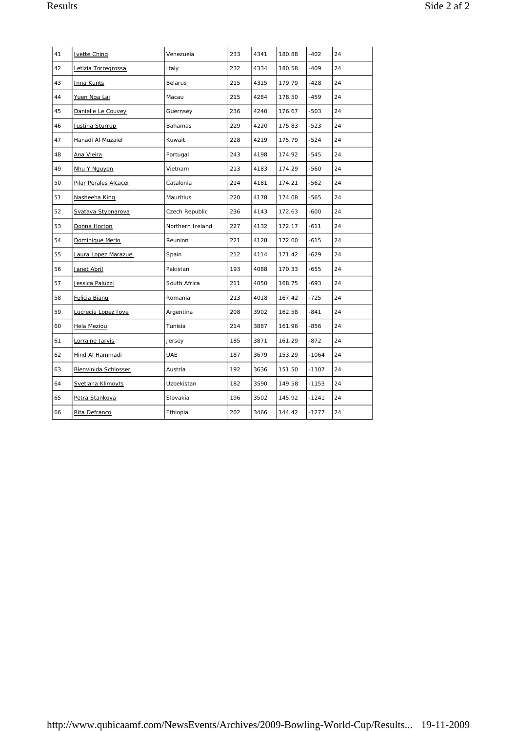| 41 | <b>Ivette Ching</b>   | Venezuela        | 233 | 4341 | 180.88 | $-402$  | 24 |
|----|-----------------------|------------------|-----|------|--------|---------|----|
| 42 | Letizia Torregrossa   | Italy            | 232 | 4334 | 180.58 | $-409$  | 24 |
| 43 | Inna Kunts            | Belarus          | 215 | 4315 | 179.79 | $-428$  | 24 |
| 44 | Yuen Nga Lai          | Macau            | 215 | 4284 | 178.50 | $-459$  | 24 |
| 45 | Danielle Le Couvey    | Guernsey         | 236 | 4240 | 176.67 | $-503$  | 24 |
| 46 | Justina Sturrup       | Bahamas          | 229 | 4220 | 175.83 | -523    | 24 |
| 47 | Hanadi Al Muzaiel     | Kuwait           | 228 | 4219 | 175.79 | $-524$  | 24 |
| 48 | Ana Vieira            | Portugal         | 243 | 4198 | 174.92 | $-545$  | 24 |
| 49 | Nhu Y Nguyen          | Vietnam          | 213 | 4183 | 174.29 | $-560$  | 24 |
| 50 | Pilar Perales Alcacer | Catalonia        | 214 | 4181 | 174.21 | $-562$  | 24 |
| 51 | Nasheeha King         | Mauritius        | 220 | 4178 | 174.08 | $-565$  | 24 |
| 52 | Svatava Stybnarova    | Czech Republic   | 236 | 4143 | 172.63 | $-600$  | 24 |
| 53 | Donna Horton          | Northern Ireland | 227 | 4132 | 172.17 | $-611$  | 24 |
| 54 | Dominique Merlo       | Reunion          | 221 | 4128 | 172.00 | $-615$  | 24 |
| 55 | Laura Lopez Marazuel  | Spain            | 212 | 4114 | 171.42 | $-629$  | 24 |
| 56 | Janet Abril           | Pakistan         | 193 | 4088 | 170.33 | $-655$  | 24 |
| 57 | Jessica Paluzzi       | South Africa     | 211 | 4050 | 168.75 | $-693$  | 24 |
| 58 | Felicia Bianu         | Romania          | 213 | 4018 | 167.42 | $-725$  | 24 |
| 59 | Lucrecia Lopez Jove   | Argentina        | 208 | 3902 | 162.58 | $-841$  | 24 |
| 60 | Hela Meziou           | Tunisia          | 214 | 3887 | 161.96 | -856    | 24 |
| 61 | Lorraine Jarvis       | Jersey           | 185 | 3871 | 161.29 | $-872$  | 24 |
| 62 | Hind Al Hammadi       | <b>UAE</b>       | 187 | 3679 | 153.29 | $-1064$ | 24 |
| 63 | Bienvinida Schlosser  | Austria          | 192 | 3636 | 151.50 | $-1107$ | 24 |
| 64 | Svetlana Klimoyts     | Uzbekistan       | 182 | 3590 | 149.58 | $-1153$ | 24 |
| 65 | Petra Stankova        | Slovakia         | 196 | 3502 | 145.92 | $-1241$ | 24 |
| 66 | Rita Defranco         | Ethiopia         | 202 | 3466 | 144.42 | $-1277$ | 24 |
|    |                       |                  |     |      |        |         |    |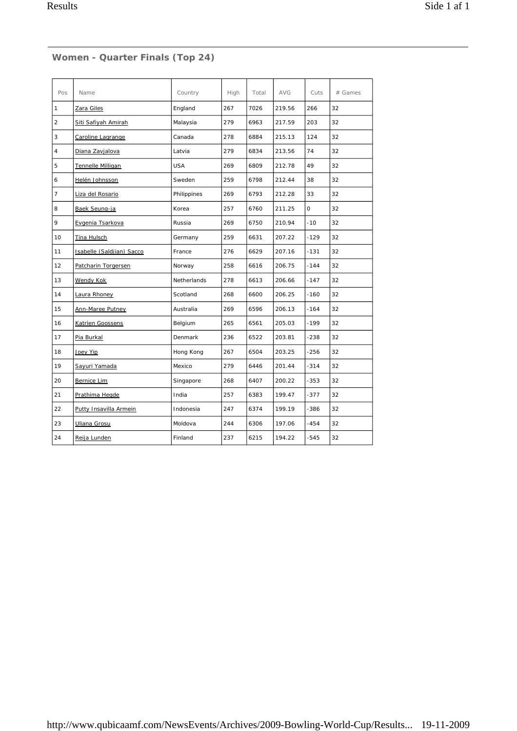## **Women - Quarter Finals (Top 24)**

| Pos            | Name                      | Country     | High | Total | <b>AVG</b> | Cuts         | # Games |
|----------------|---------------------------|-------------|------|-------|------------|--------------|---------|
| 1              | Zara Giles                | England     | 267  | 7026  | 219.56     | 266          | 32      |
| $\overline{2}$ | Siti Safiyah Amirah       | Malaysia    | 279  | 6963  | 217.59     | 203          | 32      |
| 3              | Caroline Lagrange         | Canada      | 278  | 6884  | 215.13     | 124          | 32      |
| $\overline{4}$ | Diana Zavjalova           | Latvia      | 279  | 6834  | 213.56     | 74           | 32      |
| 5              | Tennelle Milligan         | <b>USA</b>  | 269  | 6809  | 212.78     | 49           | 32      |
| 6              | Helén Johnsson            | Sweden      | 259  | 6798  | 212.44     | 38           | 32      |
| $\overline{7}$ | Liza del Rosario          | Philippines | 269  | 6793  | 212.28     | 33           | 32      |
| 8              | Baek Seung-ja             | Korea       | 257  | 6760  | 211.25     | $\mathsf{O}$ | 32      |
| 9              | Evgenia Tsarkova          | Russia      | 269  | 6750  | 210.94     | $-10$        | 32      |
| 10             | Tina Hulsch               | Germany     | 259  | 6631  | 207.22     | $-129$       | 32      |
| 11             | Isabelle (Saldjian) Sacco | France      | 276  | 6629  | 207.16     | $-131$       | 32      |
| 12             | Patcharin Torgersen       | Norway      | 258  | 6616  | 206.75     | $-144$       | 32      |
| 13             | Wendy Kok                 | Netherlands | 278  | 6613  | 206.66     | $-147$       | 32      |
| 14             | Laura Rhoney              | Scotland    | 268  | 6600  | 206.25     | $-160$       | 32      |
| 15             | Ann-Maree Putney          | Australia   | 269  | 6596  | 206.13     | $-164$       | 32      |
| 16             | Katrien Goossens          | Belgium     | 265  | 6561  | 205.03     | $-199$       | 32      |
| 17             | Pia Burkal                | Denmark     | 236  | 6522  | 203.81     | $-238$       | 32      |
| 18             | Joey Yip                  | Hong Kong   | 267  | 6504  | 203.25     | -256         | 32      |
| 19             | Sayuri Yamada             | Mexico      | 279  | 6446  | 201.44     | $-314$       | 32      |
| 20             | Bernice Lim               | Singapore   | 268  | 6407  | 200.22     | $-353$       | 32      |
| 21             | Prathima Hegde            | India       | 257  | 6383  | 199.47     | -377         | 32      |
| 22             | Putty Insavilla Armein    | Indonesia   | 247  | 6374  | 199.19     | -386         | 32      |
| 23             | Uliana Grosu              | Moldova     | 244  | 6306  | 197.06     | $-454$       | 32      |
| 24             | Reija Lunden              | Finland     | 237  | 6215  | 194.22     | $-545$       | 32      |
|                |                           |             |      |       |            |              |         |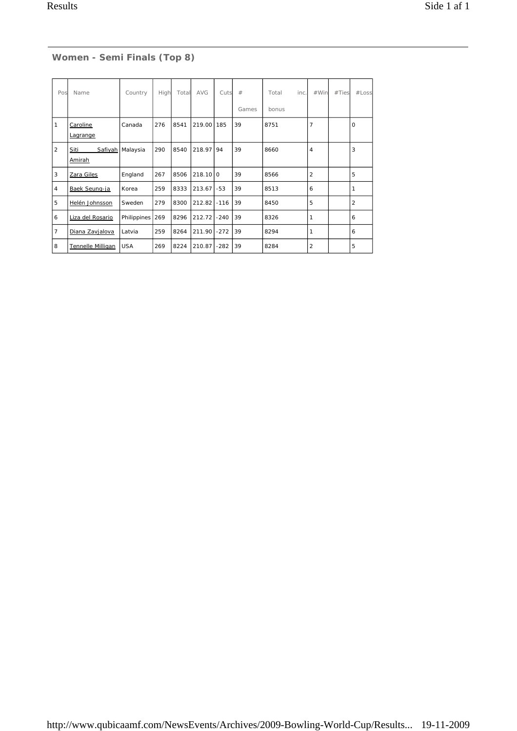### **Women - Semi Finals (Top 8)**

| Pos            | Name                 | Country            | High | Total | <b>AVG</b> | Cuts   | #     | Total<br>inc. | #Win           | #Ties | #Loss          |
|----------------|----------------------|--------------------|------|-------|------------|--------|-------|---------------|----------------|-------|----------------|
|                |                      |                    |      |       |            |        | Games | bonus         |                |       |                |
| $\mathbf{1}$   | Caroline<br>Lagrange | Canada             | 276  | 8541  | 219.00     | 185    | 39    | 8751          | $\overline{7}$ |       | $\mathbf 0$    |
| $\overline{2}$ | Siti<br>Amirah       | Safiyah   Malaysia | 290  | 8540  | 218.97     | 94     | 39    | 8660          | 4              |       | 3              |
| 3              | Zara Giles           | England            | 267  | 8506  | $218.10$ 0 |        | 39    | 8566          | $\overline{2}$ |       | 5              |
| $\overline{4}$ | Baek Seung-ja        | Korea              | 259  | 8333  | 213.67     | $-53$  | 39    | 8513          | 6              |       | 1              |
| 5              | Helén Johnsson       | Sweden             | 279  | 8300  | 212.82     | $-116$ | 39    | 8450          | 5              |       | $\overline{2}$ |
| 6              | Liza del Rosario     | Philippines 269    |      | 8296  | 212.72     | $-240$ | 39    | 8326          | 1              |       | 6              |
| $\overline{7}$ | Diana Zavjalova      | Latvia             | 259  | 8264  | 211.90     | $-272$ | 39    | 8294          | 1              |       | 6              |
| 8              | Tennelle Milligan    | <b>USA</b>         | 269  | 8224  | 210.87     | $-282$ | 39    | 8284          | $\overline{2}$ |       | 5              |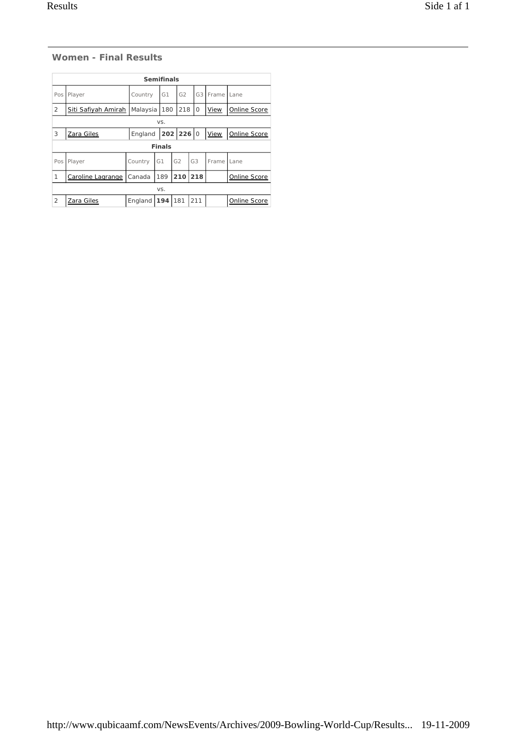#### **Women - Final Results**

|                              | <b>Semifinals</b>   |          |               |                |                |                        |                     |  |  |  |  |
|------------------------------|---------------------|----------|---------------|----------------|----------------|------------------------|---------------------|--|--|--|--|
| Pos                          | Player              | Country  | G1            | G <sub>2</sub> |                | G <sub>3</sub>   Frame | Lane                |  |  |  |  |
| $\overline{2}$               | Siti Safiyah Amirah | Malaysia | 180           | 218            | 0              | <b>View</b>            | <b>Online Score</b> |  |  |  |  |
|                              | VS.                 |          |               |                |                |                        |                     |  |  |  |  |
| 3                            | Zara Giles          | England  |               | $202$ 226 0    |                | <b>View</b>            | Online Score        |  |  |  |  |
|                              |                     |          | <b>Finals</b> |                |                |                        |                     |  |  |  |  |
| Pos                          | Player              | Country  | G1            | G2             | G <sub>3</sub> | Frame                  | Lane                |  |  |  |  |
| 1                            | Caroline Lagrange   | Canada   | 189           | 210            | 218            |                        | Online Score        |  |  |  |  |
|                              |                     |          | VS.           |                |                |                        |                     |  |  |  |  |
| $\overline{2}$<br>Zara Giles |                     | England  | 194           | 181            | 211            |                        | Online Score        |  |  |  |  |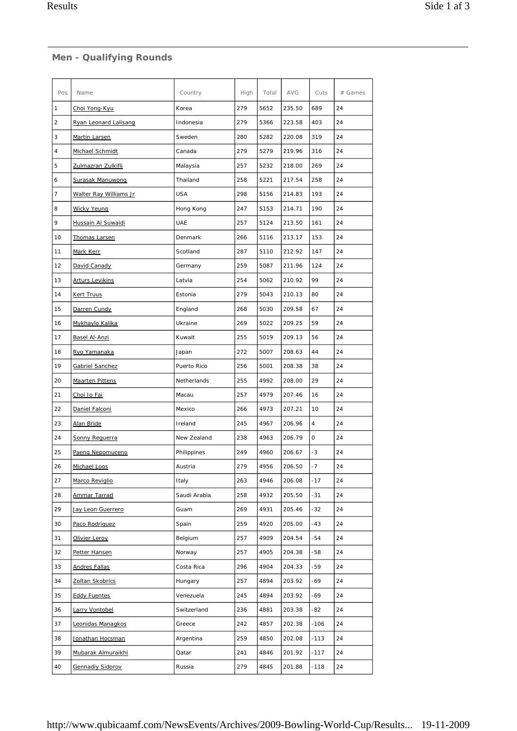### **Men - Qualifying Rounds**

| Pos            | Name                   | Country      | High | Total | <b>AVG</b> | Cuts           | # Games |
|----------------|------------------------|--------------|------|-------|------------|----------------|---------|
| 1              | Choi Yong-Kyu          | Korea        | 279  | 5652  | 235.50     | 689            | 24      |
| $\overline{2}$ | Ryan Leonard Lalisang  | Indonesia    | 279  | 5366  | 223.58     | 403            | 24      |
| 3              | Martin Larsen          | Sweden       | 280  | 5282  | 220.08     | 319            | 24      |
| 4              | Michael Schmidt        | Canada       | 279  | 5279  | 219.96     | 316            | 24      |
| 5              | Zulmazran Zulkifli     | Malaysia     | 257  | 5232  | 218.00     | 269            | 24      |
| 6              | Surasak Manuwong       | Thailand     | 258  | 5221  | 217.54     | 258            | 24      |
| 7              | Walter Ray Williams Jr | <b>USA</b>   | 298  | 5156  | 214.83     | 193            | 24      |
| 8              | <b>Wicky Yeung</b>     | Hong Kong    | 247  | 5153  | 214.71     | 190            | 24      |
| 9              | Hussain Al Suwaidi     | <b>UAE</b>   | 257  | 5124  | 213.50     | 161            | 24      |
| 10             | Thomas Larsen          | Denmark      | 266  | 5116  | 213.17     | 153            | 24      |
| 11             | Mark Kerr              | Scotland     | 287  | 5110  | 212.92     | 147            | 24      |
| 12             | David Canady           | Germany      | 259  | 5087  | 211.96     | 124            | 24      |
| 13             | <b>Arturs Levikins</b> | Latvia       | 254  | 5062  | 210.92     | 99             | 24      |
| 14             | <b>Kert Truus</b>      | Estonia      | 279  | 5043  | 210.13     | 80             | 24      |
| 15             | Darren Cundy           | England      | 268  | 5030  | 209.58     | 67             | 24      |
| 16             | Mykhaylo Kalika        | Ukraine      | 269  | 5022  | 209.25     | 59             | 24      |
| 17             | Basel Al-Anzi          | Kuwait       | 255  | 5019  | 209.13     | 56             | 24      |
| 18             | Ryo Yamanaka           | Japan        | 272  | 5007  | 208.63     | 44             | 24      |
| 19             | Gabriel Sanchez        | Puerto Rico  | 256  | 5001  | 208.38     | 38             | 24      |
| 20             | <b>Maarten Pittens</b> | Netherlands  | 255  | 4992  | 208.00     | 29             | 24      |
| 21             | Choi Io Fai            | Macau        | 257  | 4979  | 207.46     | 16             | 24      |
| 22             | Daniel Falconi         | Mexico       | 266  | 4973  | 207.21     | 10             | 24      |
| 23             | Alan Bride             | Ireland      | 245  | 4967  | 206.96     | $\overline{4}$ | 24      |
| 24             | Sonny Requerra         | New Zealand  | 238  | 4963  | 206.79     | O              | 24      |
| 25             | Paeng Nepomuceno       | Philippines  | 249  | 4960  | 206.67     | -3             | 24      |
| 26             | Michael Loos           | Austria      | 279  | 4956  | 206.50     | $-7$           | 24      |
| 27             | Marco Reviglio         | Italy        | 263  | 4946  | 206.08     | $-17$          | 24      |
| 28             | Ammar Tarrad           | Saudi Arabia | 258  | 4932  | 205.50     | $-31$          | 24      |
| 29             | Jay Leon Guerrero      | Guam         | 269  | 4931  | 205.46     | -32            | 24      |
| 30             | Paco Rodriguez         | Spain        | 259  | 4920  | 205.00     | $-43$          | 24      |
| 31             | Olivier Leroy          | Belgium      | 257  | 4909  | 204.54     | $-54$          | 24      |
| 32             | Petter Hansen          | Norway       | 257  | 4905  | 204.38     | $-58$          | 24      |
| 33             | <b>Andres Fallas</b>   | Costa Rica   | 296  | 4904  | 204.33     | -59            | 24      |
| 34             | Zoltan Skobrics        | Hungary      | 257  | 4894  | 203.92     | -69            | 24      |
| 35             | <b>Eddy Fuentes</b>    | Venezuela    | 245  | 4894  | 203.92     | -69            | 24      |
| 36             | Larry Vontobel         | Switzerland  | 236  | 4881  | 203.38     | -82            | 24      |
| 37             | Leonidas Managkos      | Greece       | 242  | 4857  | 202.38     | $-106$         | 24      |
| 38             | Jonathan Hocsman       | Argentina    | 259  | 4850  | 202.08     | $-113$         | 24      |
| 39             | Mubarak Almuraikhi     | Qatar        | 241  | 4846  | 201.92     | $-117$         | 24      |
| 40             | Gennadiy Sidorov       | Russia       | 279  | 4845  | 201.88     | $-118$         | 24      |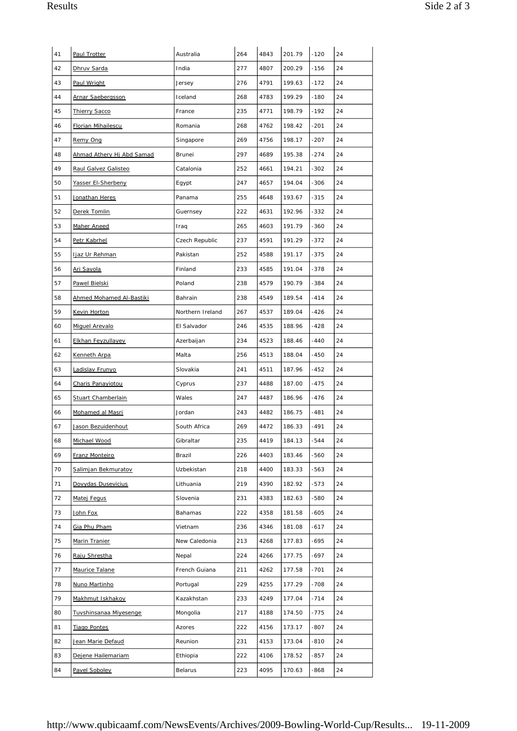| 41 | Paul Trotter              | Australia        | 264 | 4843 | 201.79 | $-120$ | 24 |
|----|---------------------------|------------------|-----|------|--------|--------|----|
| 42 | Dhruv Sarda               | India            | 277 | 4807 | 200.29 | $-156$ | 24 |
| 43 | Paul Wright               | Jersey           | 276 | 4791 | 199.63 | $-172$ | 24 |
| 44 | <b>Arnar Saebergsson</b>  | Iceland          | 268 | 4783 | 199.29 | $-180$ | 24 |
| 45 | <b>Thierry Sacco</b>      | France           | 235 | 4771 | 198.79 | $-192$ | 24 |
| 46 | <b>Florian Mihailescu</b> | Romania          | 268 | 4762 | 198.42 | $-201$ | 24 |
| 47 | Remy Ong                  | Singapore        | 269 | 4756 | 198.17 | $-207$ | 24 |
| 48 | Ahmad Athery Hj Abd Samad | <b>Brunei</b>    | 297 | 4689 | 195.38 | $-274$ | 24 |
| 49 | Raul Galvez Galisteo      | Catalonia        | 252 | 4661 | 194.21 | $-302$ | 24 |
| 50 | Yasser El-Sherbeny        | Egypt            | 247 | 4657 | 194.04 | $-306$ | 24 |
| 51 | Jonathan Heres            | Panama           | 255 | 4648 | 193.67 | $-315$ | 24 |
| 52 | Derek Tomlin              | Guernsey         | 222 | 4631 | 192.96 | $-332$ | 24 |
| 53 | Maher Aneed               | Iraq             | 265 | 4603 | 191.79 | $-360$ | 24 |
| 54 | Petr Kabrhel              | Czech Republic   | 237 | 4591 | 191.29 | $-372$ | 24 |
| 55 | ljaz Ur Rehman            | Pakistan         | 252 | 4588 | 191.17 | $-375$ | 24 |
| 56 | Ari Savola                | Finland          | 233 | 4585 | 191.04 | $-378$ | 24 |
| 57 | Pawel Bielski             | Poland           | 238 | 4579 | 190.79 | $-384$ | 24 |
| 58 | Ahmed Mohamed Al-Bastiki  | Bahrain          | 238 | 4549 | 189.54 | $-414$ | 24 |
| 59 | Kevin Horton              | Northern Ireland | 267 | 4537 | 189.04 | $-426$ | 24 |
| 60 | Miguel Arevalo            | El Salvador      | 246 | 4535 | 188.96 | $-428$ | 24 |
| 61 | <b>Elkhan Feyzullayev</b> | Azerbaijan       | 234 | 4523 | 188.46 | $-440$ | 24 |
| 62 | Kenneth Arpa              | Malta            | 256 | 4513 | 188.04 | $-450$ | 24 |
| 63 | Ladislav Frunyo           | Slovakia         | 241 | 4511 | 187.96 | $-452$ | 24 |
| 64 | Charis Panayiotou         | Cyprus           | 237 | 4488 | 187.00 | $-475$ | 24 |
| 65 | Stuart Chamberlain        | Wales            | 247 | 4487 | 186.96 | $-476$ | 24 |
| 66 | Mohamed al Masri          | Jordan           | 243 | 4482 | 186.75 | $-481$ | 24 |
| 67 | Jason Bezuidenhout        | South Africa     | 269 | 4472 | 186.33 | $-491$ | 24 |
| 68 | Michael Wood              | Gibraltar        | 235 | 4419 | 184.13 | $-544$ | 24 |
| 69 | Franz Monteiro            | Brazil           | 226 | 4403 | 183.46 | $-560$ | 24 |
| 70 | Salimjan Bekmuratov       | Uzbekistan       | 218 | 4400 | 183.33 | $-563$ | 24 |
| 71 | Dovydas Dusevicius        | Lithuania        | 219 | 4390 | 182.92 | $-573$ | 24 |
| 72 | Matej Fegus               | Slovenia         | 231 | 4383 | 182.63 | -580   | 24 |
| 73 | John Fox                  | Bahamas          | 222 | 4358 | 181.58 | $-605$ | 24 |
| 74 | Gia Phu Pham              | Vietnam          | 236 | 4346 | 181.08 | $-617$ | 24 |
| 75 | Marin Tranier             | New Caledonia    | 213 | 4268 | 177.83 | $-695$ | 24 |
| 76 | Raju Shrestha             | Nepal            | 224 | 4266 | 177.75 | $-697$ | 24 |
| 77 | Maurice Talane            | French Guiana    | 211 | 4262 | 177.58 | $-701$ | 24 |
| 78 | Nuno Martinho             | Portugal         | 229 | 4255 | 177.29 | $-708$ | 24 |
| 79 | Makhmut Iskhakov          | Kazakhstan       | 233 | 4249 | 177.04 | $-714$ | 24 |
| 80 | Tuvshinsanaa Miyesenge    | Mongolia         | 217 | 4188 | 174.50 | $-775$ | 24 |
| 81 | <b>Tiago Pontes</b>       | Azores           | 222 | 4156 | 173.17 | $-807$ | 24 |
| 82 | Jean Marie Defaud         | Reunion          | 231 | 4153 | 173.04 | $-810$ | 24 |
| 83 | Dejene Hailemariam        | Ethiopia         | 222 | 4106 | 178.52 | -857   | 24 |
| 84 | Pavel Sobolev             | Belarus          | 223 | 4095 | 170.63 | -868   | 24 |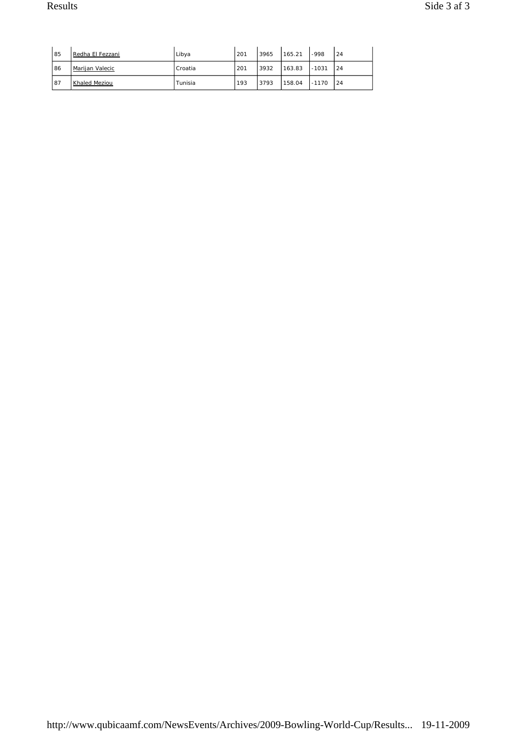| 85 | Redha El Fezzani | Libya   | 201 | 3965 | 165.21 | -998    | 24 |
|----|------------------|---------|-----|------|--------|---------|----|
| 86 | Marijan Valecic  | Croatia | 201 | 3932 | 163.83 | $-1031$ | 24 |
| 87 | Khaled Meziou    | Tunisia | 193 | 3793 | 158.04 | $-1170$ | 24 |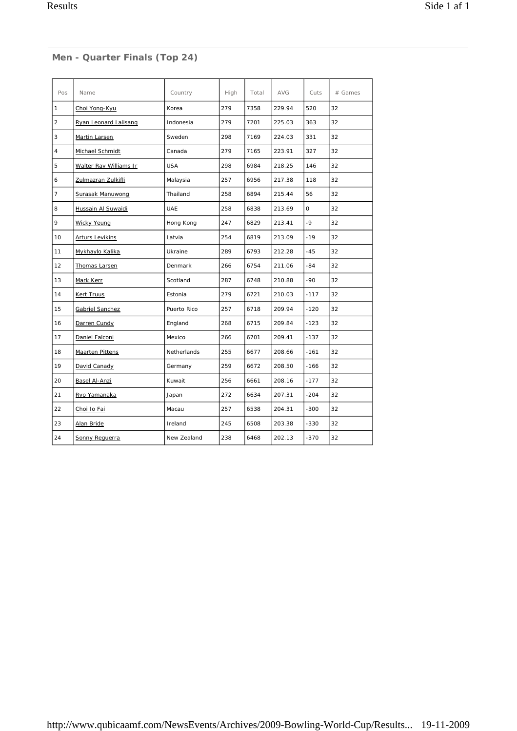#### **Men - Quarter Finals (Top 24)**

| Pos            | Name                   | Country        | High        | Total | <b>AVG</b> | Cuts   | $#$ Games |
|----------------|------------------------|----------------|-------------|-------|------------|--------|-----------|
| 1              | Choi Yong-Kyu          | Korea          | 279         | 7358  | 229.94     | 520    | 32        |
| $\overline{c}$ | Ryan Leonard Lalisang  | Indonesia      | 279         | 7201  | 225.03     | 363    | 32        |
| 3              | Martin Larsen          | Sweden         | 298         | 7169  | 224.03     | 331    | 32        |
| $\overline{4}$ | Michael Schmidt        | Canada         | 279         | 7165  | 223.91     | 327    | 32        |
| 5              | Walter Ray Williams Jr | <b>USA</b>     | 298<br>6984 |       | 218.25     | 146    | 32        |
| 6              | Zulmazran Zulkifli     | Malaysia       | 257<br>6956 |       | 217.38     | 118    | 32        |
| $\overline{7}$ | Surasak Manuwong       | Thailand       | 258         | 6894  | 215.44     | 56     | 32        |
| 8              | Hussain Al Suwaidi     | <b>UAE</b>     | 258         | 6838  | 213.69     | 0      | 32        |
| 9              | <b>Wicky Yeung</b>     | Hong Kong      | 247         | 6829  | 213.41     | $-9$   | 32        |
| 10             | <b>Arturs Levikins</b> | Latvia         | 254         | 6819  | 213.09     | $-19$  | 32        |
| 11             | Mykhaylo Kalika        | Ukraine        | 289         | 6793  | 212.28     | $-45$  | 32        |
| 12             | Thomas Larsen          | <b>Denmark</b> | 266         | 6754  | 211.06     | $-84$  | 32        |
| 13             | Mark Kerr              | Scotland       | 287         | 6748  | 210.88     | $-90$  | 32        |
| 14             | Kert Truus             | Estonia        | 279         | 6721  | 210.03     | $-117$ | 32        |
| 15             | Gabriel Sanchez        | Puerto Rico    | 257         | 6718  | 209.94     | $-120$ | 32        |
| 16             | Darren Cundy           | England        | 268         | 6715  | 209.84     | $-123$ | 32        |
| 17             | Daniel Falconi         | Mexico         | 266         | 6701  | 209.41     | $-137$ | 32        |
| 18             | <b>Maarten Pittens</b> | Netherlands    | 255         | 6677  | 208.66     | $-161$ | 32        |
| 19             | David Canady           | Germany        | 259         | 6672  | 208.50     | $-166$ | 32        |
| 20             | Basel Al-Anzi          | Kuwait         | 256         | 6661  | 208.16     | $-177$ | 32        |
| 21             | Ryo Yamanaka           | Japan          | 272         | 6634  | 207.31     | $-204$ | 32        |
| 22             | Choi Io Fai            | Macau          | 257         | 6538  | 204.31     | $-300$ | 32        |
| 23             | Alan Bride             | Ireland        | 245         | 6508  | 203.38     | $-330$ | 32        |
| 24             | Sonny Requerra         | New Zealand    | 238         | 6468  | 202.13     | $-370$ | 32        |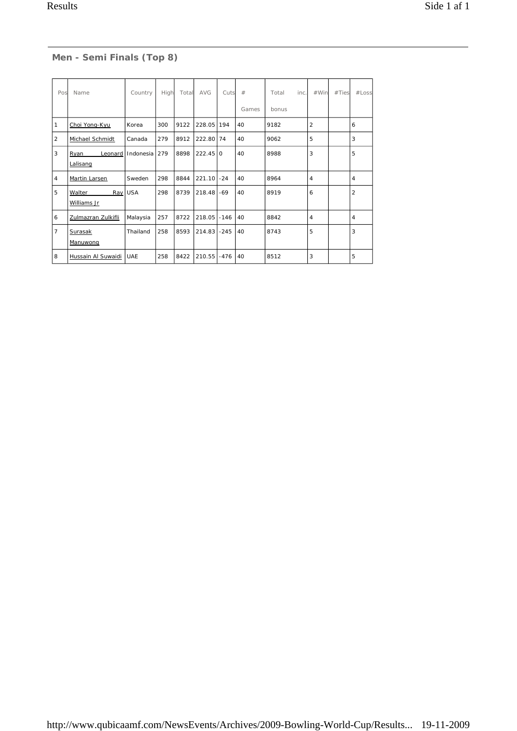# **Men - Semi Finals (Top 8)**

| Pos            | Name                               | Country    | High | Total | <b>AVG</b> | Cuts   | #     | Total<br>inc. | #Win           | #Ties | #Loss          |
|----------------|------------------------------------|------------|------|-------|------------|--------|-------|---------------|----------------|-------|----------------|
|                |                                    |            |      |       |            |        | Games | bonus         |                |       |                |
| 1              | Choi Yong-Kyu                      | Korea      | 300  | 9122  | 228.05     | 194    | 40    | 9182          | $\overline{2}$ |       | 6              |
| 2              | Michael Schmidt                    | Canada     | 279  | 8912  | 222.80     | 74     | 40    | 9062          | 5              |       | 3              |
| 3              | Leonard<br><b>Ryan</b><br>Lalisang | Indonesia  | 279  | 8898  | $222.45$ 0 |        | 40    | 8988          | 3              |       | 5              |
| $\overline{4}$ | Martin Larsen                      | Sweden     | 298  | 8844  | 221.10     | $-24$  | 40    | 8964          | $\overline{4}$ |       | 4              |
| 5              | Walter<br>Ray<br>Williams Jr       | <b>USA</b> | 298  | 8739  | 218.48     | -69    | 40    | 8919          | 6              |       | $\overline{2}$ |
| 6              | Zulmazran Zulkifli                 | Malaysia   | 257  | 8722  | 218.05     | $-146$ | 40    | 8842          | $\overline{4}$ |       | 4              |
| $\overline{7}$ | Surasak<br>Manuwong                | Thailand   | 258  | 8593  | 214.83     | $-245$ | 40    | 8743          | 5              |       | 3              |
| 8              | Hussain Al Suwaidi                 | <b>UAE</b> | 258  | 8422  | 210.55     | $-476$ | 40    | 8512          | 3              |       | 5              |